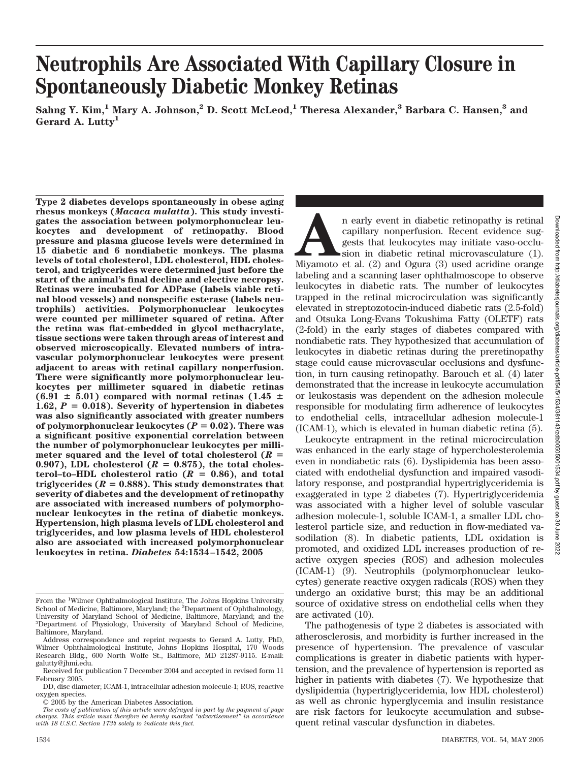# **Neutrophils Are Associated With Capillary Closure in Spontaneously Diabetic Monkey Retinas**

**Sahng Y. Kim,1 Mary A. Johnson,2 D. Scott McLeod,1 Theresa Alexander,3 Barbara C. Hansen,3 and Gerard A. Lutty1**

**Type 2 diabetes develops spontaneously in obese aging rhesus monkeys (***Macaca mulatta***). This study investigates the association between polymorphonuclear leukocytes and development of retinopathy. Blood pressure and plasma glucose levels were determined in 15 diabetic and 6 nondiabetic monkeys. The plasma levels of total cholesterol, LDL cholesterol, HDL cholesterol, and triglycerides were determined just before the start of the animal's final decline and elective necropsy. Retinas were incubated for ADPase (labels viable retinal blood vessels) and nonspecific esterase (labels neutrophils) activities. Polymorphonuclear leukocytes were counted per millimeter squared of retina. After the retina was flat-embedded in glycol methacrylate, tissue sections were taken through areas of interest and observed microscopically. Elevated numbers of intravascular polymorphonuclear leukocytes were present adjacent to areas with retinal capillary nonperfusion. There were significantly more polymorphonuclear leukocytes per millimeter squared in diabetic retinas**  $(6.91 \pm 5.01)$  compared with normal retinas  $(1.45 \pm 1.01)$ 1.62,  $P = 0.018$ ). Severity of hypertension in diabetes **was also significantly associated with greater numbers** of polymorphonuclear leukocytes  $(P = 0.02)$ . There was **a significant positive exponential correlation between the number of polymorphonuclear leukocytes per milli**meter squared and the level of total cholesterol  $(R =$ 0.907), LDL cholesterol  $(R = 0.875)$ , the total choles- $\text{terol-to-HDL}$  cholesterol ratio ( $R = 0.86$ ), and total triglycerides  $(R = 0.888)$ . This study demonstrates that **severity of diabetes and the development of retinopathy are associated with increased numbers of polymorphonuclear leukocytes in the retina of diabetic monkeys. Hypertension, high plasma levels of LDL cholesterol and triglycerides, and low plasma levels of HDL cholesterol also are associated with increased polymorphonuclear leukocytes in retina.** *Diabetes* **54:1534–1542, 2005**

An early event in diabetic retinopathy is retinal capillary nonperfusion. Recent evidence suggests that leukocytes may initiate vaso-occlusion in diabetic retinal microvasculature (1). Miyamoto et al. (2) and Ogura (3) use capillary nonperfusion. Recent evidence suggests that leukocytes may initiate vaso-occlusion in diabetic retinal microvasculature (1). labeling and a scanning laser ophthalmoscope to observe leukocytes in diabetic rats. The number of leukocytes trapped in the retinal microcirculation was significantly elevated in streptozotocin-induced diabetic rats (2.5-fold) and Otsuka Long-Evans Tokushima Fatty (OLETF) rats (2-fold) in the early stages of diabetes compared with nondiabetic rats. They hypothesized that accumulation of leukocytes in diabetic retinas during the preretinopathy stage could cause microvascular occlusions and dysfunction, in turn causing retinopathy. Barouch et al. (4) later demonstrated that the increase in leukocyte accumulation or leukostasis was dependent on the adhesion molecule responsible for modulating firm adherence of leukocytes to endothelial cells, intracellular adhesion molecule-1 (ICAM-1), which is elevated in human diabetic retina (5).

Leukocyte entrapment in the retinal microcirculation was enhanced in the early stage of hypercholesterolemia even in nondiabetic rats (6). Dyslipidemia has been associated with endothelial dysfunction and impaired vasodilatory response, and postprandial hypertriglyceridemia is exaggerated in type 2 diabetes (7). Hypertriglyceridemia was associated with a higher level of soluble vascular adhesion molecule-1, soluble ICAM-1, a smaller LDL cholesterol particle size, and reduction in flow-mediated vasodilation (8). In diabetic patients, LDL oxidation is promoted, and oxidized LDL increases production of reactive oxygen species (ROS) and adhesion molecules (ICAM-1) (9). Neutrophils (polymorphonuclear leukocytes) generate reactive oxygen radicals (ROS) when they undergo an oxidative burst; this may be an additional source of oxidative stress on endothelial cells when they are activated (10).

The pathogenesis of type 2 diabetes is associated with atherosclerosis, and morbidity is further increased in the presence of hypertension. The prevalence of vascular complications is greater in diabetic patients with hypertension, and the prevalence of hypertension is reported as higher in patients with diabetes (7). We hypothesize that dyslipidemia (hypertriglyceridemia, low HDL cholesterol) as well as chronic hyperglycemia and insulin resistance are risk factors for leukocyte accumulation and subsequent retinal vascular dysfunction in diabetes.

From the <sup>1</sup>Wilmer Ophthalmological Institute, The Johns Hopkins University<br>School of Medicine, Baltimore, Maryland; the <sup>2</sup>Department of Ophthalmology, University of Maryland School of Medicine, Baltimore, Maryland; and the 3 Department of Physiology, University of Maryland School of Medicine, Baltimore, Maryland.

Address correspondence and reprint requests to Gerard A. Lutty, PhD, Wilmer Ophthalmological Institute, Johns Hopkins Hospital, 170 Woods Research Bldg., 600 North Wolfe St., Baltimore, MD 21287-9115. E-mail: galutty@jhmi.edu.

Received for publication 7 December 2004 and accepted in revised form 11 February 2005.

DD, disc diameter; ICAM-1, intracellular adhesion molecule-1; ROS, reactive oxygen species.

<sup>© 2005</sup> by the American Diabetes Association.

*The costs of publication of this article were defrayed in part by the payment of page charges. This article must therefore be hereby marked "advertisement" in accordance with 18 U.S.C. Section 1734 solely to indicate this fact.*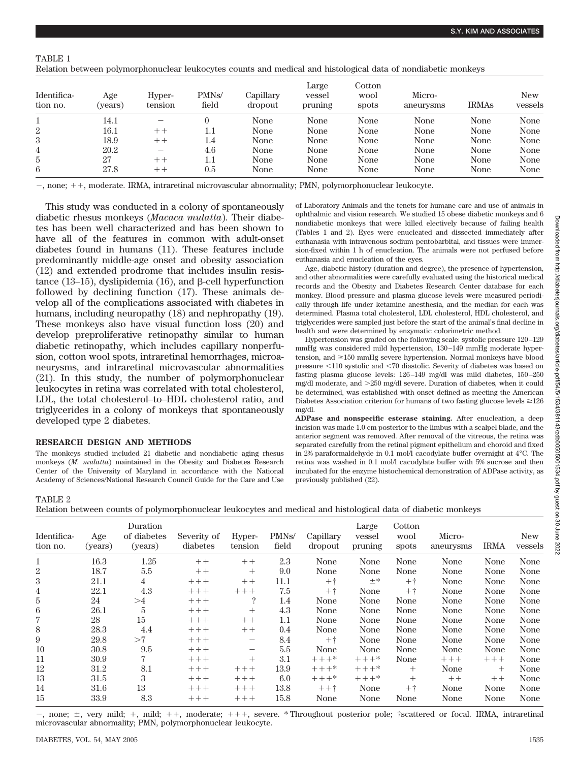TABLE 1

|  |  | Relation between polymorphonuclear leukocytes counts and medical and histological data of nondiabetic monkeys |
|--|--|---------------------------------------------------------------------------------------------------------------|
|--|--|---------------------------------------------------------------------------------------------------------------|

| Identifica-<br>tion no. | Age<br>(years) | Hyper-<br>tension | PMN <sub>s</sub> /<br>field | Capillary<br>dropout | Large<br>vessel<br>pruning | Cotton<br>wool<br>spots | Micro-<br>aneurysms | <b>IRMAS</b> | <b>New</b><br>vessels |
|-------------------------|----------------|-------------------|-----------------------------|----------------------|----------------------------|-------------------------|---------------------|--------------|-----------------------|
|                         | 14.1           | —                 |                             | None                 | None                       | None                    | None                | None         | None                  |
| $\overline{2}$          | 16.1           | $++$              | 1.1                         | None                 | None                       | None                    | None                | None         | None                  |
| 3                       | 18.9           | $++$              | 1.4                         | None                 | None                       | None                    | None                | None         | None                  |
| 4                       | 20.2           |                   | 4.6                         | None                 | None                       | None                    | None                | None         | None                  |
| 5                       | 27             | $++$              | 1.1                         | None                 | None                       | None                    | None                | None         | None                  |
| 6                       | 27.8           | $++$              | $0.5\,$                     | None                 | None                       | None                    | None                | None         | None                  |

 $-$ , none;  $++$ , moderate. IRMA, intraretinal microvascular abnormality; PMN, polymorphonuclear leukocyte.

This study was conducted in a colony of spontaneously diabetic rhesus monkeys (*Macaca mulatta*). Their diabetes has been well characterized and has been shown to have all of the features in common with adult-onset diabetes found in humans (11). These features include predominantly middle-age onset and obesity association (12) and extended prodrome that includes insulin resistance (13–15), dyslipidemia (16), and  $\beta$ -cell hyperfunction followed by declining function (17). These animals develop all of the complications associated with diabetes in humans, including neuropathy (18) and nephropathy (19). These monkeys also have visual function loss (20) and develop preproliferative retinopathy similar to human diabetic retinopathy, which includes capillary nonperfusion, cotton wool spots, intraretinal hemorrhages, microaneurysms, and intraretinal microvascular abnormalities (21). In this study, the number of polymorphonuclear leukocytes in retina was correlated with total cholesterol, LDL, the total cholesterol–to–HDL cholesterol ratio, and triglycerides in a colony of monkeys that spontaneously developed type 2 diabetes.

#### **RESEARCH DESIGN AND METHODS**

The monkeys studied included 21 diabetic and nondiabetic aging rhesus monkeys (*M*. *mulatta*) maintained in the Obesity and Diabetes Research Center of the University of Maryland in accordance with the National Academy of Sciences/National Research Council Guide for the Care and Use of Laboratory Animals and the tenets for humane care and use of animals in ophthalmic and vision research. We studied 15 obese diabetic monkeys and 6 nondiabetic monkeys that were killed electively because of failing health (Tables 1 and 2). Eyes were enucleated and dissected immediately after euthanasia with intravenous sodium pentobarbital, and tissues were immersion-fixed within 1 h of enucleation. The animals were not perfused before euthanasia and enucleation of the eyes.

Age, diabetic history (duration and degree), the presence of hypertension, and other abnormalities were carefully evaluated using the historical medical records and the Obesity and Diabetes Research Center database for each monkey. Blood pressure and plasma glucose levels were measured periodically through life under ketamine anesthesia, and the median for each was determined. Plasma total cholesterol, LDL cholesterol, HDL cholesterol, and triglycerides were sampled just before the start of the animal's final decline in health and were determined by enzymatic colorimetric method.

Hypertension was graded on the following scale: systolic pressure 120 –129 mmHg was considered mild hypertension, 130 –149 mmHg moderate hypertension, and  $\geq$ 150 mmHg severe hypertension. Normal monkeys have blood pressure -110 systolic and -70 diastolic. Severity of diabetes was based on fasting plasma glucose levels: 126 –149 mg/dl was mild diabetes, 150 –250 mg/dl moderate, and 250 mg/dl severe. Duration of diabetes, when it could be determined, was established with onset defined as meeting the American Diabetes Association criterion for humans of two fasting glucose levels  $\geq$ 126 mg/dl.

**ADPase and nonspecific esterase staining.** After enucleation, a deep incision was made 1.0 cm posterior to the limbus with a scalpel blade, and the anterior segment was removed. After removal of the vitreous, the retina was separated carefully from the retinal pigment epithelium and choroid and fixed in 2% paraformaldehyde in 0.1 mol/l cacodylate buffer overnight at 4°C. The retina was washed in 0.1 mol/l cacodylate buffer with 5% sucrose and then incubated for the enzyme histochemical demonstration of ADPase activity, as previously published (22).

TABLE 2 Relation between counts of polymorphonuclear leukocytes and medical and histological data of diabetic monkeys

| Identifica-<br>tion no. | Age<br>(years) | Duration<br>of diabetes<br>(years) | Severity of<br>diabetes | Hyper-<br>tension        | PMN <sub>s</sub> /<br>field | Capillary<br>dropout | Large<br>vessel<br>pruning | Cotton<br>wool<br>spots | Micro-<br>aneurysms | <b>IRMA</b> | <b>New</b><br>vessels |
|-------------------------|----------------|------------------------------------|-------------------------|--------------------------|-----------------------------|----------------------|----------------------------|-------------------------|---------------------|-------------|-----------------------|
|                         | 16.3           | 1.25                               | $++$                    | $++$                     | 2.3                         | None                 | None                       | None                    | None                | None        | None                  |
| $\boldsymbol{2}$        | 18.7           | 5.5                                | $++$                    | $^{+}$                   | 9.0                         | None                 | None                       | None                    | None                | None        | None                  |
| 3                       | 21.1           | $\overline{4}$                     | $++++$                  | $++$                     | 11.1                        | $++$                 | $\pm *$                    | $+$ $+$                 | None                | None        | None                  |
| 4                       | 22.1           | 4.3                                | $++++$                  | $++++$                   | 7.5                         | $+$ $+$              | None                       | $++$                    | None                | None        | None                  |
| 5                       | 24             | >4                                 | $++++$                  | $\ddot{?}$               | 1.4                         | None                 | None                       | None                    | None                | None        | None                  |
| 6                       | 26.1           | 5                                  | $++++$                  | $^{+}$                   | 4.3                         | None                 | None                       | None                    | None                | None        | None                  |
| 7                       | 28             | 15                                 | $++++$                  | $++$                     | 1.1                         | None                 | None                       | None                    | None                | None        | None                  |
| 8                       | 28.3           | 4.4                                | $++++$                  | $++$                     | 0.4                         | None                 | None                       | None                    | None                | None        | None                  |
| 9                       | 29.8           | >7                                 | $++++$                  | $\overline{\phantom{m}}$ | 8.4                         | $+$ $+$              | None                       | None                    | None                | None        | None                  |
| 10                      | 30.8           | 9.5                                | $++++$                  | $\qquad \qquad$          | 5.5                         | None                 | None                       | None                    | None                | None        | None                  |
| 11                      | 30.9           | 7                                  | $+++$                   | $^{+}$                   | 3.1                         | $+++*$               | $+++*$                     | None                    | $+++$               | $+++$       | None                  |
| 12                      | 31.2           | 8.1                                | $++++$                  | $+++$                    | 13.9                        | $+++*$               | $+++*$                     | $^{+}$                  | None                | $^{+}$      | None                  |
| 13                      | 31.5           | 3                                  | $+++$                   | $++++$                   | 6.0                         | $+++*$               | $+++*$                     | $^{+}$                  | $++$                | $++$        | None                  |
| 14                      | 31.6           | 13                                 | $++++$                  | $+++$                    | 13.8                        | $+ + + +$            | None                       | $++$                    | None                | None        | None                  |
| 15                      | 33.9           | 8.3                                | $++++$                  | $++++$                   | 15.8                        | None                 | None                       | None                    | None                | None        | None                  |

 $-$ , none;  $\pm$ , very mild;  $+$ , mild;  $++$ , moderate;  $++$ , severe. \* Throughout posterior pole; †scattered or focal. IRMA, intraretinal microvascular abnormality; PMN, polymorphonuclear leukocyte.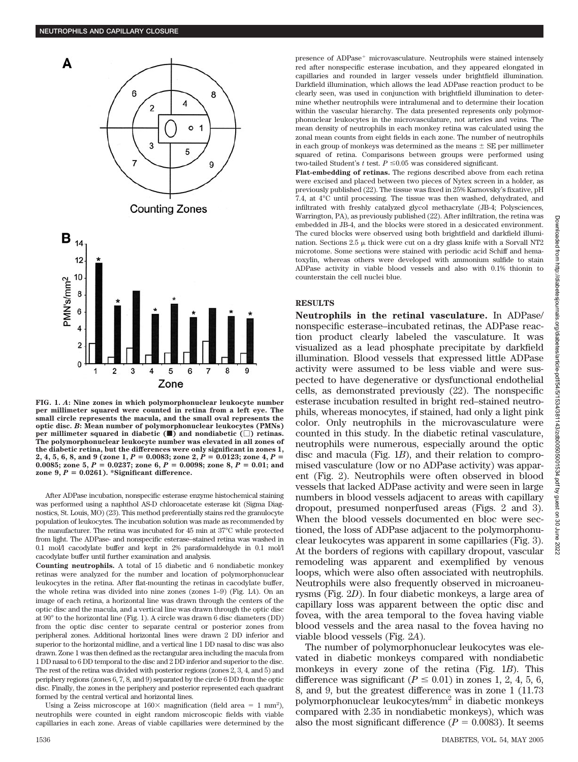

**FIG. 1.** *A***: Nine zones in which polymorphonuclear leukocyte number per millimeter squared were counted in retina from a left eye. The small circle represents the macula, and the small oval represents the optic disc.** *B***: Mean number of polymorphonuclear leukocytes (PMNs) per millimeter squared in diabetic (**f**) and nondiabetic () retinas. The polymorphonuclear leukocyte number was elevated in all zones of the diabetic retina, but the differences were only significant in zones 1,**  $2, 4, 5, 6, 8,$  and  $9$  (zone  $1, P = 0.0083$ ; zone  $2, P = 0.0123$ ; zone  $4, P =$ 0.0085; zone 5,  $P = 0.0237$ ; zone 6,  $P = 0.0098$ ; zone 8,  $P = 0.01$ ; and  $\text{zone } 9, P = 0.0261$ . \*Significant difference.

After ADPase incubation, nonspecific esterase enzyme histochemical staining was performed using a naphthol AS-D chloroacetate esterase kit (Sigma Diagnostics, St. Louis, MO) (23). This method preferentially stains red the granulocyte population of leukocytes. The incubation solution was made as recommended by the manufacturer. The retina was incubated for 45 min at 37°C while protected from light. The ADPase- and nonspecific esterase–stained retina was washed in 0.1 mol/l cacodylate buffer and kept in 2% paraformaldehyde in 0.1 mol/l cacodylate buffer until further examination and analysis.

**Counting neutrophils.** A total of 15 diabetic and 6 nondiabetic monkey retinas were analyzed for the number and location of polymorphonuclear leukocytes in the retina. After flat-mounting the retinas in cacodylate buffer, the whole retina was divided into nine zones (zones 1–9) (Fig. 1*A*). On an image of each retina, a horizontal line was drawn through the centers of the optic disc and the macula, and a vertical line was drawn through the optic disc at 90° to the horizontal line (Fig. 1). A circle was drawn 6 disc diameters (DD) from the optic disc center to separate central or posterior zones from peripheral zones. Additional horizontal lines were drawn 2 DD inferior and superior to the horizontal midline, and a vertical line 1 DD nasal to disc was also drawn. Zone 1 was then defined as the rectangular area including the macula from 1 DD nasal to 6 DD temporal to the disc and 2 DD inferior and superior to the disc. The rest of the retina was divided with posterior regions (zones 2, 3, 4, and 5) and periphery regions (zones 6, 7, 8, and 9) separated by the circle 6 DD from the optic disc. Finally, the zones in the periphery and posterior represented each quadrant formed by the central vertical and horizontal lines.

Using a Zeiss microscope at  $160 \times$  magnification (field area = 1 mm<sup>2</sup>), neutrophils were counted in eight random microscopic fields with viable capillaries in each zone. Areas of viable capillaries were determined by the presence of ADPase<sup>+</sup> microvasculature. Neutrophils were stained intensely red after nonspecific esterase incubation, and they appeared elongated in capillaries and rounded in larger vessels under brightfield illumination. Darkfield illumination, which allows the lead ADPase reaction product to be clearly seen, was used in conjunction with brightfield illumination to determine whether neutrophils were intralumenal and to determine their location within the vascular hierarchy. The data presented represents only polymorphonuclear leukocytes in the microvasculature, not arteries and veins. The mean density of neutrophils in each monkey retina was calculated using the zonal mean counts from eight fields in each zone. The number of neutrophils in each group of monkeys was determined as the means  $\pm$  SE per millimeter squared of retina. Comparisons between groups were performed using two-tailed Student's  $t$  test.  $P \leq 0.05$  was considered significant.

**Flat-embedding of retinas.** The regions described above from each retina were excised and placed between two pieces of Nytex screen in a holder, as previously published (22). The tissue was fixed in 25% Karnovsky's fixative, pH 7.4, at 4°C until processing. The tissue was then washed, dehydrated, and infiltrated with freshly catalyzed glycol methacrylate (JB-4; Polysciences, Warrington, PA), as previously published (22). After infiltration, the retina was embedded in JB-4, and the blocks were stored in a desiccated environment. The cured blocks were observed using both brightfield and darkfield illumination. Sections  $2.5 \mu$  thick were cut on a dry glass knife with a Sorvall NT2 microtome. Some sections were stained with periodic acid Schiff and hematoxylin, whereas others were developed with ammonium sulfide to stain ADPase activity in viable blood vessels and also with 0.1% thionin to counterstain the cell nuclei blue.

## **RESULTS**

**Neutrophils in the retinal vasculature.** In ADPase/ nonspecific esterase–incubated retinas, the ADPase reaction product clearly labeled the vasculature. It was visualized as a lead phosphate precipitate by darkfield illumination. Blood vessels that expressed little ADPase activity were assumed to be less viable and were suspected to have degenerative or dysfunctional endothelial cells, as demonstrated previously (22). The nonspecific esterase incubation resulted in bright red–stained neutrophils, whereas monocytes, if stained, had only a light pink color. Only neutrophils in the microvasculature were counted in this study. In the diabetic retinal vasculature, neutrophils were numerous, especially around the optic disc and macula (Fig. 1*B*), and their relation to compromised vasculature (low or no ADPase activity) was apparent (Fig. 2). Neutrophils were often observed in blood vessels that lacked ADPase activity and were seen in large numbers in blood vessels adjacent to areas with capillary dropout, presumed nonperfused areas (Figs. 2 and 3). When the blood vessels documented en bloc were sectioned, the loss of ADPase adjacent to the polymorphonuclear leukocytes was apparent in some capillaries (Fig. 3). At the borders of regions with capillary dropout, vascular remodeling was apparent and exemplified by venous loops, which were also often associated with neutrophils. Neutrophils were also frequently observed in microaneurysms (Fig. 2*D*). In four diabetic monkeys, a large area of capillary loss was apparent between the optic disc and fovea, with the area temporal to the fovea having viable blood vessels and the area nasal to the fovea having no viable blood vessels (Fig. 2*A*).

The number of polymorphonuclear leukocytes was elevated in diabetic monkeys compared with nondiabetic monkeys in every zone of the retina (Fig. 1*B*). This difference was significant ( $P \le 0.01$ ) in zones 1, 2, 4, 5, 6, 8, and 9, but the greatest difference was in zone 1 (11.73 polymorphonuclear leukocytes/mm2 in diabetic monkeys compared with 2.35 in nondiabetic monkeys), which was also the most significant difference  $(P = 0.0083)$ . It seems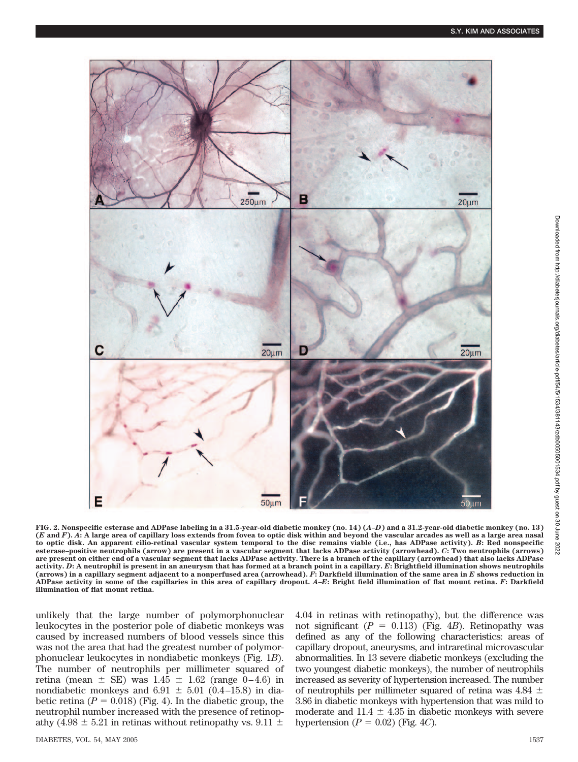

**FIG. 2. Nonspecific esterase and ADPase labeling in a 31.5-year-old diabetic monkey (no. 14) (***A***–***D***) and a 31.2-year-old diabetic monkey (no. 13) (***E* **and** *F***).** *A***: A large area of capillary loss extends from fovea to optic disk within and beyond the vascular arcades as well as a large area nasal to optic disk. An apparent cilio-retinal vascular system temporal to the disc remains viable (i.e., has ADPase activity).** *B***: Red nonspecific esterase–positive neutrophils (arrow) are present in a vascular segment that lacks ADPase activity (arrowhead).** *C***: Two neutrophils (arrows) are present on either end of a vascular segment that lacks ADPase activity. There is a branch of the capillary (arrowhead) that also lacks ADPase activity.** *D***: A neutrophil is present in an aneurysm that has formed at a branch point in a capillary.** *E***: Brightfield illumination shows neutrophils (arrows) in a capillary segment adjacent to a nonperfused area (arrowhead).** *F***: Darkfield illumination of the same area in** *E* **shows reduction in ADPase activity in some of the capillaries in this area of capillary dropout.** *A***–***E***: Bright field illumination of flat mount retina.** *F***: Darkfield illumination of flat mount retina.**

unlikely that the large number of polymorphonuclear leukocytes in the posterior pole of diabetic monkeys was caused by increased numbers of blood vessels since this was not the area that had the greatest number of polymorphonuclear leukocytes in nondiabetic monkeys (Fig. 1*B*). The number of neutrophils per millimeter squared of retina (mean  $\pm$  SE) was 1.45  $\pm$  1.62 (range 0–4.6) in nondiabetic monkeys and  $6.91 \pm 5.01$  (0.4–15.8) in diabetic retina  $(P = 0.018)$  (Fig. 4). In the diabetic group, the neutrophil number increased with the presence of retinopathy (4.98  $\pm$  5.21 in retinas without retinopathy vs. 9.11  $\pm$ 

4.04 in retinas with retinopathy), but the difference was not significant  $(P = 0.113)$  (Fig. 4*B*). Retinopathy was defined as any of the following characteristics: areas of capillary dropout, aneurysms, and intraretinal microvascular abnormalities. In 13 severe diabetic monkeys (excluding the two youngest diabetic monkeys), the number of neutrophils increased as severity of hypertension increased. The number of neutrophils per millimeter squared of retina was  $4.84 \pm$ 3.86 in diabetic monkeys with hypertension that was mild to moderate and 11.4  $\pm$  4.35 in diabetic monkeys with severe hypertension  $(P = 0.02)$  (Fig. 4*C*).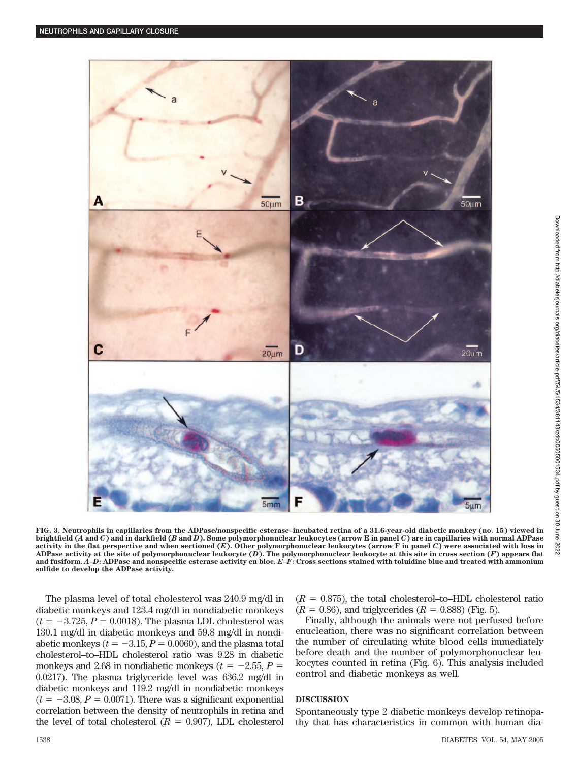

**FIG. 3. Neutrophils in capillaries from the ADPase/nonspecific esterase–incubated retina of a 31.6-year-old diabetic monkey (no. 15) viewed in brightfield (***A* **and** *C***) and in darkfield (***B* **and** *D***). Some polymorphonuclear leukocytes (arrow E in panel** *C***) are in capillaries with normal ADPase** activity in the flat perspective and when sectioned  $(E)$ . Other polymorphonuclear leukocytes (arrow F in panel  $C$ ) were associated with loss in **ADPase activity at the site of polymorphonuclear leukocyte (***D***). The polymorphonuclear leukocyte at this site in cross section (***F***) appears flat and fusiform.** *A***–***D***: ADPase and nonspecific esterase activity en bloc.** *E***–***F***: Cross sections stained with toluidine blue and treated with ammonium sulfide to develop the ADPase activity.**

The plasma level of total cholesterol was 240.9 mg/dl in diabetic monkeys and 123.4 mg/dl in nondiabetic monkeys  $(t = -3.725, P = 0.0018)$ . The plasma LDL cholesterol was 130.1 mg/dl in diabetic monkeys and 59.8 mg/dl in nondiabetic monkeys  $(t = -3.15, P = 0.0060)$ , and the plasma total cholesterol–to–HDL cholesterol ratio was 9.28 in diabetic monkeys and 2.68 in nondiabetic monkeys ( $t = -2.55$ ,  $P =$ 0.0217). The plasma triglyceride level was 636.2 mg/dl in diabetic monkeys and 119.2 mg/dl in nondiabetic monkeys  $(t = -3.08, P = 0.0071)$ . There was a significant exponential correlation between the density of neutrophils in retina and the level of total cholesterol  $(R = 0.907)$ , LDL cholesterol

 $(R = 0.875)$ , the total cholesterol–to–HDL cholesterol ratio  $(R = 0.86)$ , and triglycerides  $(R = 0.888)$  (Fig. 5).

Finally, although the animals were not perfused before enucleation, there was no significant correlation between the number of circulating white blood cells immediately before death and the number of polymorphonuclear leukocytes counted in retina (Fig. 6). This analysis included control and diabetic monkeys as well.

# **DISCUSSION**

Spontaneously type 2 diabetic monkeys develop retinopathy that has characteristics in common with human dia-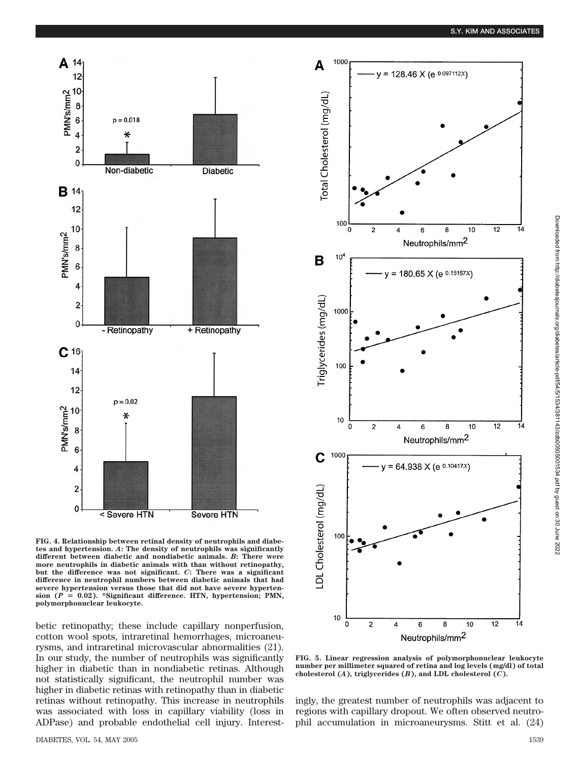

**FIG. 4. Relationship between retinal density of neutrophils and diabetes and hypertension.** *A***: The density of neutrophils was significantly different between diabetic and nondiabetic animals.** *B***: There were more neutrophils in diabetic animals with than without retinopathy, but the difference was not significant.** *C***: There was a significant difference in neutrophil numbers between diabetic animals that had severe hypertension versus those that did not have severe hypertension (***P* - **0.02). \*Significant difference. HTN, hypertension; PMN, polymorphonuclear leukocyte.**

betic retinopathy; these include capillary nonperfusion, cotton wool spots, intraretinal hemorrhages, microaneurysms, and intraretinal microvascular abnormalities (21). In our study, the number of neutrophils was significantly higher in diabetic than in nondiabetic retinas. Although not statistically significant, the neutrophil number was higher in diabetic retinas with retinopathy than in diabetic retinas without retinopathy. This increase in neutrophils was associated with loss in capillary viability (loss in ADPase) and probable endothelial cell injury. Interest-



**FIG. 5. Linear regression analysis of polymorphonuclear leukocyte number per millimeter squared of retina and log levels (mg/dl) of total cholesterol (***A***), triglycerides (***B***), and LDL cholesterol (***C***).**

ingly, the greatest number of neutrophils was adjacent to regions with capillary dropout. We often observed neutrophil accumulation in microaneurysms. Stitt et al. (24)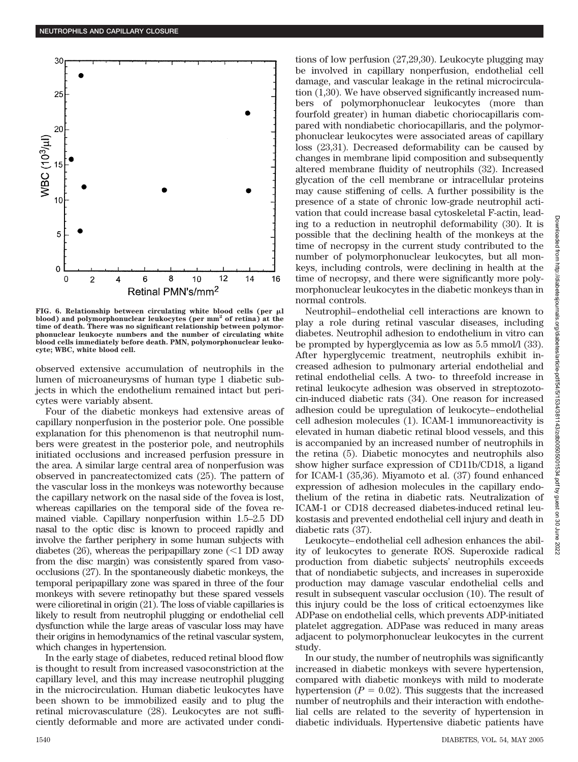

FIG. 6. Relationship between circulating white blood cells (per  $\mu$ l **blood) and polymorphonuclear leukocytes (per mm<sup>2</sup> of retina) at the time of death. There was no significant relationship between polymorphonuclear leukocyte numbers and the number of circulating white blood cells immediately before death. PMN, polymorphonuclear leukocyte; WBC, white blood cell.**

observed extensive accumulation of neutrophils in the lumen of microaneurysms of human type 1 diabetic subjects in which the endothelium remained intact but pericytes were variably absent.

Four of the diabetic monkeys had extensive areas of capillary nonperfusion in the posterior pole. One possible explanation for this phenomenon is that neutrophil numbers were greatest in the posterior pole, and neutrophils initiated occlusions and increased perfusion pressure in the area. A similar large central area of nonperfusion was observed in pancreatectomized cats (25). The pattern of the vascular loss in the monkeys was noteworthy because the capillary network on the nasal side of the fovea is lost, whereas capillaries on the temporal side of the fovea remained viable. Capillary nonperfusion within 1.5–2.5 DD nasal to the optic disc is known to proceed rapidly and involve the farther periphery in some human subjects with diabetes  $(26)$ , whereas the peripapillary zone  $(<1$  DD away from the disc margin) was consistently spared from vasoocclusions (27). In the spontaneously diabetic monkeys, the temporal peripapillary zone was spared in three of the four monkeys with severe retinopathy but these spared vessels were cilioretinal in origin (21). The loss of viable capillaries is likely to result from neutrophil plugging or endothelial cell dysfunction while the large areas of vascular loss may have their origins in hemodynamics of the retinal vascular system, which changes in hypertension.

In the early stage of diabetes, reduced retinal blood flow is thought to result from increased vasoconstriction at the capillary level, and this may increase neutrophil plugging in the microcirculation. Human diabetic leukocytes have been shown to be immobilized easily and to plug the retinal microvasculature (28). Leukocytes are not sufficiently deformable and more are activated under conditions of low perfusion (27,29,30). Leukocyte plugging may be involved in capillary nonperfusion, endothelial cell damage, and vascular leakage in the retinal microcirculation (1,30). We have observed significantly increased numbers of polymorphonuclear leukocytes (more than fourfold greater) in human diabetic choriocapillaris compared with nondiabetic choriocapillaris, and the polymorphonuclear leukocytes were associated areas of capillary loss (23,31). Decreased deformability can be caused by changes in membrane lipid composition and subsequently altered membrane fluidity of neutrophils (32). Increased glycation of the cell membrane or intracellular proteins may cause stiffening of cells. A further possibility is the presence of a state of chronic low-grade neutrophil activation that could increase basal cytoskeletal F-actin, leading to a reduction in neutrophil deformability (30). It is possible that the declining health of the monkeys at the time of necropsy in the current study contributed to the number of polymorphonuclear leukocytes, but all monkeys, including controls, were declining in health at the time of necropsy, and there were significantly more polymorphonuclear leukocytes in the diabetic monkeys than in normal controls.

Neutrophil– endothelial cell interactions are known to play a role during retinal vascular diseases, including diabetes. Neutrophil adhesion to endothelium in vitro can be prompted by hyperglycemia as low as 5.5 mmol/l (33). After hyperglycemic treatment, neutrophils exhibit increased adhesion to pulmonary arterial endothelial and retinal endothelial cells. A two- to threefold increase in retinal leukocyte adhesion was observed in streptozotocin-induced diabetic rats (34). One reason for increased adhesion could be upregulation of leukocyte– endothelial cell adhesion molecules (1). ICAM-1 immunoreactivity is elevated in human diabetic retinal blood vessels, and this is accompanied by an increased number of neutrophils in the retina (5). Diabetic monocytes and neutrophils also show higher surface expression of CD11b/CD18, a ligand for ICAM-1 (35,36). Miyamoto et al. (37) found enhanced expression of adhesion molecules in the capillary endothelium of the retina in diabetic rats. Neutralization of ICAM-1 or CD18 decreased diabetes-induced retinal leukostasis and prevented endothelial cell injury and death in diabetic rats (37).

Leukocyte– endothelial cell adhesion enhances the ability of leukocytes to generate ROS. Superoxide radical production from diabetic subjects' neutrophils exceeds that of nondiabetic subjects, and increases in superoxide production may damage vascular endothelial cells and result in subsequent vascular occlusion (10). The result of this injury could be the loss of critical ectoenzymes like ADPase on endothelial cells, which prevents ADP-initiated platelet aggregation. ADPase was reduced in many areas adjacent to polymorphonuclear leukocytes in the current study.

In our study, the number of neutrophils was significantly increased in diabetic monkeys with severe hypertension, compared with diabetic monkeys with mild to moderate hypertension  $(P = 0.02)$ . This suggests that the increased number of neutrophils and their interaction with endothelial cells are related to the severity of hypertension in diabetic individuals. Hypertensive diabetic patients have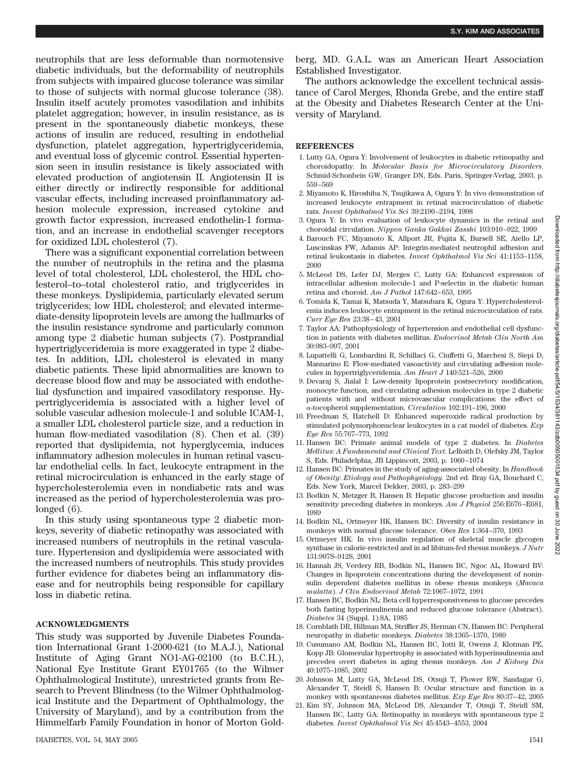://diabetesjournals.org/diabetes/article-pdf/54/5/1534/381143/zdb00505001534.pdf by guest

 $\overline{a}$ 8 June

neutrophils that are less deformable than normotensive diabetic individuals, but the deformability of neutrophils from subjects with impaired glucose tolerance was similar to those of subjects with normal glucose tolerance (38). Insulin itself acutely promotes vasodilation and inhibits platelet aggregation; however, in insulin resistance, as is present in the spontaneously diabetic monkeys, these actions of insulin are reduced, resulting in endothelial dysfunction, platelet aggregation, hypertriglyceridemia, and eventual loss of glycemic control. Essential hypertension seen in insulin resistance is likely associated with elevated production of angiotensin II. Angiotensin II is either directly or indirectly responsible for additional vascular effects, including increased proinflammatory adhesion molecule expression, increased cytokine and growth factor expression, increased endothelin-1 formation, and an increase in endothelial scavenger receptors for oxidized LDL cholesterol (7).

There was a significant exponential correlation between the number of neutrophils in the retina and the plasma level of total cholesterol, LDL cholesterol, the HDL cholesterol–to–total cholesterol ratio, and triglycerides in these monkeys. Dyslipidemia, particularly elevated serum triglycerides; low HDL cholesterol; and elevated intermediate-density lipoprotein levels are among the hallmarks of the insulin resistance syndrome and particularly common among type 2 diabetic human subjects (7). Postprandial hypertriglyceridemia is more exaggerated in type 2 diabetes. In addition, LDL cholesterol is elevated in many diabetic patients. These lipid abnormalities are known to decrease blood flow and may be associated with endothelial dysfunction and impaired vasodilatory response. Hypertriglyceridemia is associated with a higher level of soluble vascular adhesion molecule-1 and soluble ICAM-1, a smaller LDL cholesterol particle size, and a reduction in human flow-mediated vasodilation (8). Chen et al. (39) reported that dyslipidemia, not hyperglycemia, induces inflammatory adhesion molecules in human retinal vascular endothelial cells. In fact, leukocyte entrapment in the retinal microcirculation is enhanced in the early stage of hypercholesterolemia even in nondiabetic rats and was increased as the period of hypercholesterolemia was prolonged (6).

In this study using spontaneous type 2 diabetic monkeys, severity of diabetic retinopathy was associated with increased numbers of neutrophils in the retinal vasculature. Hypertension and dyslipidemia were associated with the increased numbers of neutrophils. This study provides further evidence for diabetes being an inflammatory disease and for neutrophils being responsible for capillary loss in diabetic retina.

#### **ACKNOWLEDGMENTS**

This study was supported by Juvenile Diabetes Foundation International Grant 1-2000-621 (to M.A.J.), National Institute of Aging Grant NO1-AG-02100 (to B.C.H.), National Eye Institute Grant EY01765 (to the Wilmer Ophthalmological Institute), unrestricted grants from Research to Prevent Blindness (to the Wilmer Ophthalmological Institute and the Department of Ophthalmology, the University of Maryland), and by a contribution from the Himmelfarb Family Foundation in honor of Morton Goldberg, MD. G.A.L. was an American Heart Association Established Investigator.

The authors acknowledge the excellent technical assistance of Carol Merges, Rhonda Grebe, and the entire staff at the Obesity and Diabetes Research Center at the University of Maryland.

### **REFERENCES**

- 1. Lutty GA, Ogura Y: Involvement of leukocytes in diabetic retinopathy and choroidopathy. In *Molecular Basis for Microcirculatory Disorders*. Schmid-Schonbein GW, Granger DN, Eds. Paris, Springer-Verlag, 2003, p. 559 –569
- 2. Miyamoto K, Hiroshiba N, Tsujikawa A, Ogura Y: In vivo demonstration of increased leukocyte entrapment in retinal microcirculation of diabetic rats. *Invest Ophthalmol Vis Sci* 39:2190 –2194, 1998
- 3. Ogura Y: In vivo evaluation of leukocyte dynamics in the retinal and choroidal circulation. *Nippon Ganka Gakkai Zasshi* 103:910 –922, 1999
- 4. Barouch FC, Miyamoto K, Allport JR, Fujita K, Bursell SE, Aiello LP, Luscinskas FW, Adamis AP: Integrin-mediated neutrophil adhesion and retinal leukostasis in diabetes. *Invest Ophthalmol Vis Sci* 41:1153–1158, 2000
- 5. McLeod DS, Lefer DJ, Merges C, Lutty GA: Enhanced expression of intracellular adhesion molecule-1 and P-selectin in the diabetic human retina and choroid. *Am J Pathol* 147:642– 653, 1995
- 6. Tomida K, Tamai K, Matsuda Y, Matsubara K, Ogura Y: Hypercholesterolemia induces leukocyte entrapment in the retinal microcirculation of rats. *Curr Eye Res* 23:38 – 43, 2001
- 7. Taylor AA: Pathophysiology of hypertension and endothelial cell dysfunction in patients with diabetes mellitus. *Endocrinol Metab Clin North Am* 30:983–997, 2001
- 8. Lupattelli G, Lombardini R, Schillaci G, Ciuffetti G, Marchesi S, Siepi D, Mannarino E: Flow-mediated vasoactivity and circulating adhesion molecules in hypertriglyceridemia. *Am Heart J* 140:521–526, 2000
- 9. Devaraj S, Jialal I: Low-density lipoprotein postsecretory modification, monocyte function, and circulating adhesion molecules in type 2 diabetic patients with and without microvascular complications: the effect of -tocopherol supplementation. *Circulation* 102:191–196, 2000
- 10. Freedman S, Hatchell D: Enhanced superoxide radical production by stimulated polymorphonuclear leukocytes in a cat model of diabetes. *Exp Eye Res* 55:767–773, 1992
- 11. Hansen BC: Primate animal models of type 2 diabetes. In *Diabetes Mellitus*: *A Fundamental and Clinical Text*. LeRoith D, Olefsky JM, Taylor S, Eds. Philadelphia, JB Lippincott, 2003, p. 1060 –1074
- 12. Hansen BC: Primates in the study of aging-associated obesity. In *Handbook of Obesity*: *Etiology and Pathophysiology*. 2nd ed. Bray GA, Bouchard C, Eds. New York, Marcel Dekker, 2003, p. 283–299
- 13. Bodkin N, Metzger B, Hansen B: Hepatic glucose production and insulin sensitivity preceding diabetes in monkeys. *Am J Physiol* 256:E676 –E681, 1989
- 14. Bodkin NL, Ortmeyer HK, Hansen BC: Diversity of insulin resistance in monkeys with normal glucose tolerance. *Obes Res* 1:364 –370, 1993
- 15. Ortmeyer HK: In vivo insulin regulation of skeletal muscle glycogen synthase in calorie-restricted and in ad libitum-fed rhesus monkeys. *J Nutr* 131:907S–912S, 2001
- 16. Hannah JS, Verdery RB, Bodkin NL, Hansen BC, Ngoc AL, Howard BV: Changes in lipoprotein concentrations during the development of noninsulin dependent diabetes mellitus in obese rhesus monkeys (*Macaca mulatta*). *J Clin Endocrinol Metab* 72:1067–1072, 1991
- 17. Hansen BC, Bodkin NL: Beta cell hyperresponsiveness to glucose precedes both fasting hyperinsulinemia and reduced glucose tolerance (Abstract). *Diabetes* 34 (Suppl. 1):8A, 1985
- 18. Cornblath DR, Hillman MA, Striffler JS, Herman CN, Hansen BC: Peripheral neuropathy in diabetic monkeys. *Diabetes* 38:1365–1370, 1989
- 19. Cusumano AM, Bodkin NL, Hansen BC, Iotti R, Owens J, Klotman PE, Kopp JB: Glomerular hypertrophy is associated with hyperinsulinemia and precedes overt diabetes in aging rhesus monkeys. *Am J Kidney Dis* 40:1075–1085, 2002
- 20. Johnson M, Lutty GA, McLeod DS, Otsuji T, Flower RW, Sandagar G, Alexander T, Steidl S, Hansen B: Ocular structure and function in a monkey with spontaneous diabetes mellitus. *Exp Eye Res* 80:37– 42, 2005
- 21. Kim SY, Johnson MA, McLeod DS, Alexander T, Otsuji T, Steidl SM, Hansen BC, Lutty GA: Retinopathy in monkeys with spontaneous type 2 diabetes. *Invest Ophthalmol Vis Sci* 45:4543– 4553, 2004